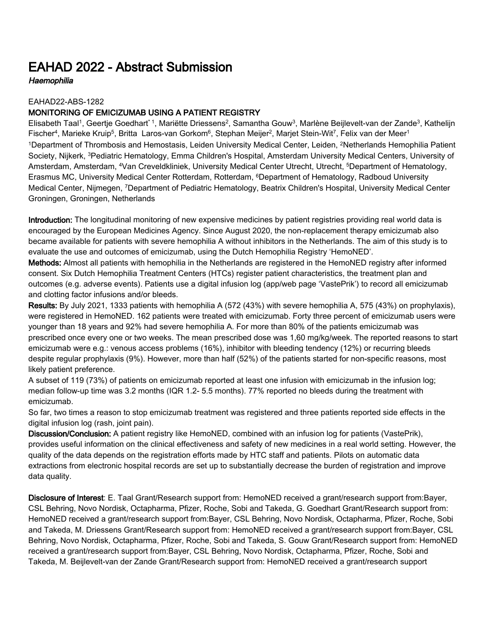## EAHAD 2022 - Abstract Submission

**Haemophilia** 

## EAHAD22-ABS-1282

## MONITORING OF EMICIZUMAB USING A PATIENT REGISTRY

Elisabeth Taal1, Geertje Goedhart 1, Mariëtte Driessens<sup>2</sup>, Samantha Gouw<sup>3</sup>, Marlène Beijlevelt-van der Zande<sup>3</sup>, Kathelijn Fischer<sup>4</sup>, Marieke Kruip<sup>5</sup>, Britta Laros-van Gorkom<sup>6</sup>, Stephan Meijer<sup>2</sup>, Marjet Stein-Wit<sup>7</sup>, Felix van der Meer<sup>1</sup> <sup>1</sup>Department of Thrombosis and Hemostasis, Leiden University Medical Center, Leiden, <sup>2</sup>Netherlands Hemophilia Patient Society, Nijkerk, <sup>3</sup>Pediatric Hematology, Emma Children's Hospital, Amsterdam University Medical Centers, University of Amsterdam, Amsterdam, <sup>4</sup>Van Creveldkliniek, University Medical Center Utrecht, Utrecht, <sup>5</sup>Department of Hematology, Erasmus MC, University Medical Center Rotterdam, Rotterdam, <sup>6</sup>Department of Hematology, Radboud University Medical Center, Nijmegen, <sup>7</sup>Department of Pediatric Hematology, Beatrix Children's Hospital, University Medical Center Groningen, Groningen, Netherlands

Introduction: The longitudinal monitoring of new expensive medicines by patient registries providing real world data is encouraged by the European Medicines Agency. Since August 2020, the non-replacement therapy emicizumab also became available for patients with severe hemophilia A without inhibitors in the Netherlands. The aim of this study is to evaluate the use and outcomes of emicizumab, using the Dutch Hemophilia Registry 'HemoNED'.

Methods: Almost all patients with hemophilia in the Netherlands are registered in the HemoNED registry after informed consent. Six Dutch Hemophilia Treatment Centers (HTCs) register patient characteristics, the treatment plan and outcomes (e.g. adverse events). Patients use a digital infusion log (app/web page 'VastePrik') to record all emicizumab and clotting factor infusions and/or bleeds.

Results: By July 2021, 1333 patients with hemophilia A (572 (43%) with severe hemophilia A, 575 (43%) on prophylaxis), were registered in HemoNED. 162 patients were treated with emicizumab. Forty three percent of emicizumab users were younger than 18 years and 92% had severe hemophilia A. For more than 80% of the patients emicizumab was prescribed once every one or two weeks. The mean prescribed dose was 1,60 mg/kg/week. The reported reasons to start emicizumab were e.g.: venous access problems (16%), inhibitor with bleeding tendency (12%) or recurring bleeds despite regular prophylaxis (9%). However, more than half (52%) of the patients started for non-specific reasons, most likely patient preference.

A subset of 119 (73%) of patients on emicizumab reported at least one infusion with emicizumab in the infusion log; median follow-up time was 3.2 months (IQR 1.2- 5.5 months). 77% reported no bleeds during the treatment with emicizumab.

So far, two times a reason to stop emicizumab treatment was registered and three patients reported side effects in the digital infusion log (rash, joint pain).

Discussion/Conclusion: A patient registry like HemoNED, combined with an infusion log for patients (VastePrik), provides useful information on the clinical effectiveness and safety of new medicines in a real world setting. However, the quality of the data depends on the registration efforts made by HTC staff and patients. Pilots on automatic data extractions from electronic hospital records are set up to substantially decrease the burden of registration and improve data quality.

Disclosure of Interest: E. Taal Grant/Research support from: HemoNED received a grant/research support from:Bayer, CSL Behring, Novo Nordisk, Octapharma, Pfizer, Roche, Sobi and Takeda, G. Goedhart Grant/Research support from: HemoNED received a grant/research support from:Bayer, CSL Behring, Novo Nordisk, Octapharma, Pfizer, Roche, Sobi and Takeda, M. Driessens Grant/Research support from: HemoNED received a grant/research support from:Bayer, CSL Behring, Novo Nordisk, Octapharma, Pfizer, Roche, Sobi and Takeda, S. Gouw Grant/Research support from: HemoNED received a grant/research support from:Bayer, CSL Behring, Novo Nordisk, Octapharma, Pfizer, Roche, Sobi and Takeda, M. Beijlevelt-van der Zande Grant/Research support from: HemoNED received a grant/research support